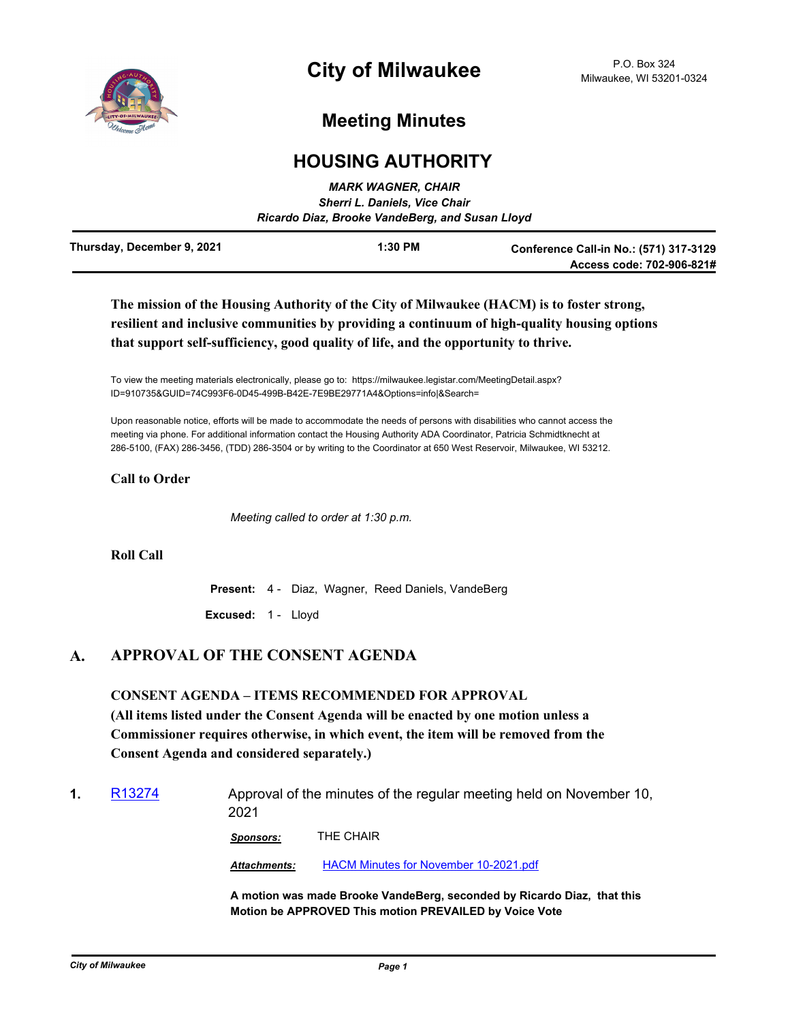

# **Meeting Minutes**

## **HOUSING AUTHORITY**

|                            | <b>MARK WAGNER, CHAIR</b><br><b>Sherri L. Daniels, Vice Chair</b><br>Ricardo Diaz, Brooke VandeBerg, and Susan Lloyd |                                                                     |
|----------------------------|----------------------------------------------------------------------------------------------------------------------|---------------------------------------------------------------------|
| Thursday, December 9, 2021 | $1:30$ PM                                                                                                            | Conference Call-in No.: (571) 317-3129<br>Access code: 702-906-821# |

## **The mission of the Housing Authority of the City of Milwaukee (HACM) is to foster strong, resilient and inclusive communities by providing a continuum of high-quality housing options that support self-sufficiency, good quality of life, and the opportunity to thrive.**

To view the meeting materials electronically, please go to: https://milwaukee.legistar.com/MeetingDetail.aspx? ID=910735&GUID=74C993F6-0D45-499B-B42E-7E9BE29771A4&Options=info|&Search=

Upon reasonable notice, efforts will be made to accommodate the needs of persons with disabilities who cannot access the meeting via phone. For additional information contact the Housing Authority ADA Coordinator, Patricia Schmidtknecht at 286-5100, (FAX) 286-3456, (TDD) 286-3504 or by writing to the Coordinator at 650 West Reservoir, Milwaukee, WI 53212.

#### **Call to Order**

*Meeting called to order at 1:30 p.m.*

#### **Roll Call**

**Present:** 4 - Diaz, Wagner, Reed Daniels, VandeBerg

**Excused:** 1 - Lloyd

### **A. APPROVAL OF THE CONSENT AGENDA**

## **CONSENT AGENDA – ITEMS RECOMMENDED FOR APPROVAL**

**(All items listed under the Consent Agenda will be enacted by one motion unless a Commissioner requires otherwise, in which event, the item will be removed from the Consent Agenda and considered separately.)**

**1.** [R13274](http://milwaukee.legistar.com/gateway.aspx?m=l&id=/matter.aspx?key=60865) Approval of the minutes of the regular meeting held on November 10, 2021

*Sponsors:* THE CHAIR

*Attachments:* [HACM Minutes for November 10-2021.pdf](http://Milwaukee.legistar.com/gateway.aspx?M=F&ID=5a8f534e-29f6-4791-a053-e39ed7a56b79.pdf)

**A motion was made Brooke VandeBerg, seconded by Ricardo Diaz, that this Motion be APPROVED This motion PREVAILED by Voice Vote**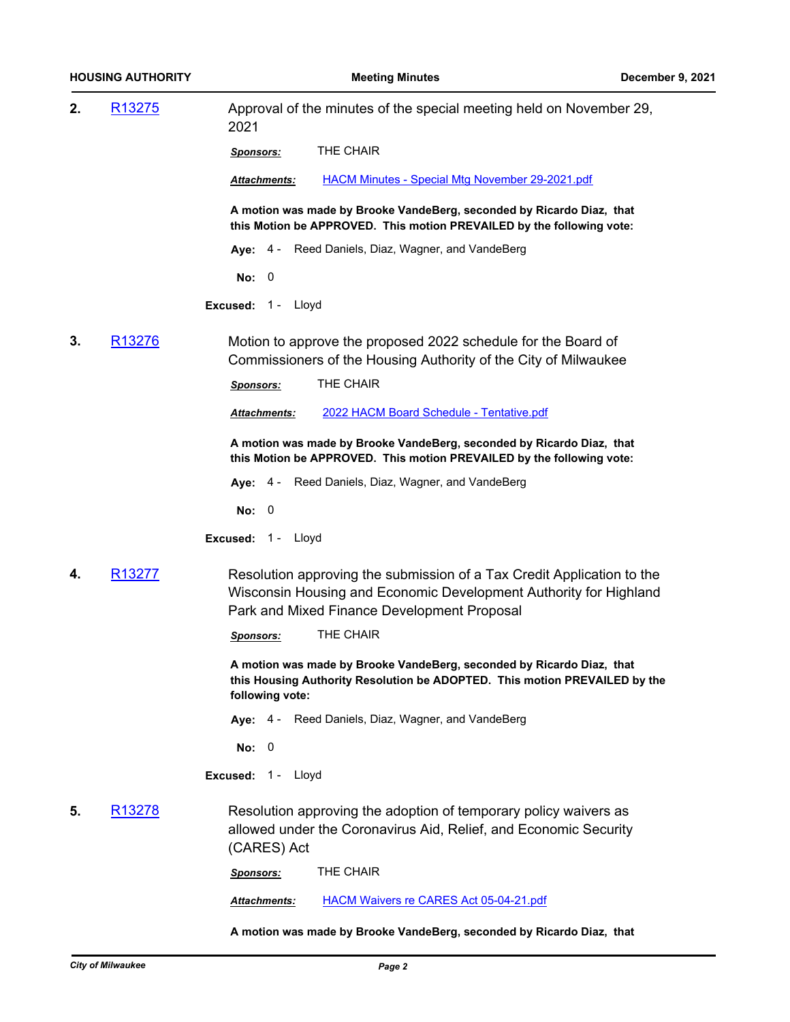| 2.                                      | R <sub>13275</sub> | Approval of the minutes of the special meeting held on November 29,<br>2021                                                                                                                |  |
|-----------------------------------------|--------------------|--------------------------------------------------------------------------------------------------------------------------------------------------------------------------------------------|--|
|                                         |                    | THE CHAIR<br><u>Sponsors:</u>                                                                                                                                                              |  |
|                                         |                    | <b>HACM Minutes - Special Mtg November 29-2021.pdf</b><br>Attachments:                                                                                                                     |  |
|                                         |                    | A motion was made by Brooke VandeBerg, seconded by Ricardo Diaz, that<br>this Motion be APPROVED. This motion PREVAILED by the following vote:                                             |  |
|                                         |                    | Aye: 4 - Reed Daniels, Diaz, Wagner, and VandeBerg                                                                                                                                         |  |
|                                         |                    | No: 0                                                                                                                                                                                      |  |
|                                         |                    | Excused: 1 - Lloyd                                                                                                                                                                         |  |
| 3.                                      | R <sub>13276</sub> | Motion to approve the proposed 2022 schedule for the Board of<br>Commissioners of the Housing Authority of the City of Milwaukee                                                           |  |
|                                         |                    | THE CHAIR<br><u>Sponsors:</u>                                                                                                                                                              |  |
|                                         |                    | 2022 HACM Board Schedule - Tentative.pdf<br><b>Attachments:</b>                                                                                                                            |  |
|                                         |                    | A motion was made by Brooke VandeBerg, seconded by Ricardo Diaz, that<br>this Motion be APPROVED. This motion PREVAILED by the following vote:                                             |  |
|                                         |                    | Aye: 4 - Reed Daniels, Diaz, Wagner, and VandeBerg                                                                                                                                         |  |
|                                         |                    | No: 0                                                                                                                                                                                      |  |
|                                         |                    | Excused: 1 - Lloyd                                                                                                                                                                         |  |
| 4.                                      | R <sub>13277</sub> | Resolution approving the submission of a Tax Credit Application to the<br>Wisconsin Housing and Economic Development Authority for Highland<br>Park and Mixed Finance Development Proposal |  |
|                                         |                    | THE CHAIR<br>Sponsors:                                                                                                                                                                     |  |
|                                         |                    | A motion was made by Brooke VandeBerg, seconded by Ricardo Diaz, that<br>this Housing Authority Resolution be ADOPTED. This motion PREVAILED by the<br>following vote:                     |  |
|                                         |                    | Aye: 4 - Reed Daniels, Diaz, Wagner, and VandeBerg                                                                                                                                         |  |
|                                         |                    | <b>No: 0</b>                                                                                                                                                                               |  |
|                                         |                    | Excused: 1 - Lloyd                                                                                                                                                                         |  |
| R <sub>13278</sub><br>5.<br>(CARES) Act |                    | Resolution approving the adoption of temporary policy waivers as<br>allowed under the Coronavirus Aid, Relief, and Economic Security                                                       |  |
|                                         |                    | THE CHAIR<br>Sponsors:                                                                                                                                                                     |  |
|                                         |                    | <b>HACM Waivers re CARES Act 05-04-21.pdf</b><br>Attachments:                                                                                                                              |  |

**A motion was made by Brooke VandeBerg, seconded by Ricardo Diaz, that**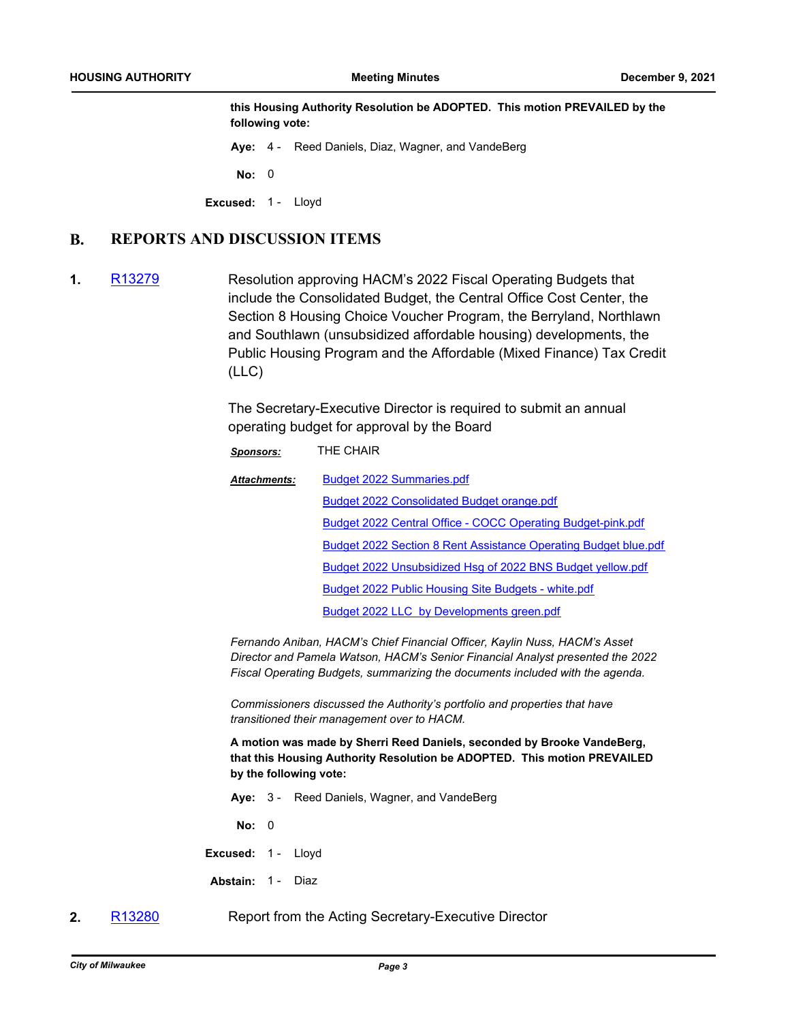**this Housing Authority Resolution be ADOPTED. This motion PREVAILED by the following vote:**

**Aye:** 4 - Reed Daniels, Diaz, Wagner, and VandeBerg

**No:** 0

**Excused:** 1 - Lloyd

#### **B. REPORTS AND DISCUSSION ITEMS**

**1.** [R13279](http://milwaukee.legistar.com/gateway.aspx?m=l&id=/matter.aspx?key=60870) Resolution approving HACM's 2022 Fiscal Operating Budgets that include the Consolidated Budget, the Central Office Cost Center, the Section 8 Housing Choice Voucher Program, the Berryland, Northlawn and Southlawn (unsubsidized affordable housing) developments, the Public Housing Program and the Affordable (Mixed Finance) Tax Credit (LLC)

> The Secretary-Executive Director is required to submit an annual operating budget for approval by the Board

| Sponsors:           | THE CHAIR                                                       |  |
|---------------------|-----------------------------------------------------------------|--|
| <b>Attachments:</b> | <b>Budget 2022 Summaries.pdf</b>                                |  |
|                     | Budget 2022 Consolidated Budget orange.pdf                      |  |
|                     | Budget 2022 Central Office - COCC Operating Budget-pink.pdf     |  |
|                     | Budget 2022 Section 8 Rent Assistance Operating Budget blue.pdf |  |
|                     | Budget 2022 Unsubsidized Hsg of 2022 BNS Budget yellow.pdf      |  |
|                     | Budget 2022 Public Housing Site Budgets - white.pdf             |  |
|                     | Budget 2022 LLC by Developments green.pdf                       |  |

*Fernando Aniban, HACM's Chief Financial Officer, Kaylin Nuss, HACM's Asset Director and Pamela Watson, HACM's Senior Financial Analyst presented the 2022 Fiscal Operating Budgets, summarizing the documents included with the agenda.*

*Commissioners discussed the Authority's portfolio and properties that have transitioned their management over to HACM.*

**A motion was made by Sherri Reed Daniels, seconded by Brooke VandeBerg, that this Housing Authority Resolution be ADOPTED. This motion PREVAILED by the following vote:**

**Aye:** 3 - Reed Daniels, Wagner, and VandeBerg

**No:** 0

**Excused:** 1 - Lloyd

**Abstain:** 1 - Diaz

**2.** [R13280](http://milwaukee.legistar.com/gateway.aspx?m=l&id=/matter.aspx?key=60871) Report from the Acting Secretary-Executive Director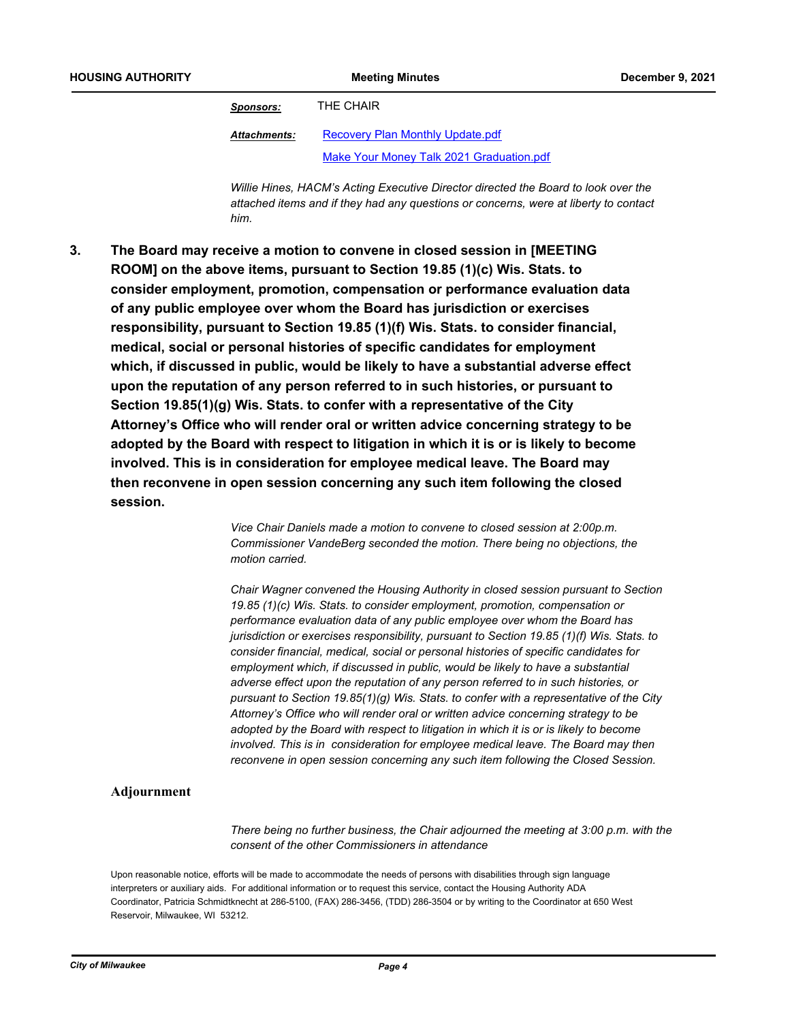*Sponsors:* THE CHAIR

[Recovery Plan Monthly Update.pdf](http://Milwaukee.legistar.com/gateway.aspx?M=F&ID=f3c1f142-6925-417c-989c-fa2b4f91ad4a.pdf) [Make Your Money Talk 2021 Graduation.pdf](http://Milwaukee.legistar.com/gateway.aspx?M=F&ID=05634dc1-01ba-4db5-aa2e-95e1b82d09d4.pdf) *Attachments:*

*Willie Hines, HACM's Acting Executive Director directed the Board to look over the attached items and if they had any questions or concerns, were at liberty to contact him.*

**The Board may receive a motion to convene in closed session in [MEETING ROOM] on the above items, pursuant to Section 19.85 (1)(c) Wis. Stats. to consider employment, promotion, compensation or performance evaluation data of any public employee over whom the Board has jurisdiction or exercises responsibility, pursuant to Section 19.85 (1)(f) Wis. Stats. to consider financial, medical, social or personal histories of specific candidates for employment which, if discussed in public, would be likely to have a substantial adverse effect upon the reputation of any person referred to in such histories, or pursuant to Section 19.85(1)(g) Wis. Stats. to confer with a representative of the City Attorney's Office who will render oral or written advice concerning strategy to be adopted by the Board with respect to litigation in which it is or is likely to become involved. This is in consideration for employee medical leave. The Board may then reconvene in open session concerning any such item following the closed session. 3.**

> *Vice Chair Daniels made a motion to convene to closed session at 2:00p.m. Commissioner VandeBerg seconded the motion. There being no objections, the motion carried.*

*Chair Wagner convened the Housing Authority in closed session pursuant to Section 19.85 (1)(c) Wis. Stats. to consider employment, promotion, compensation or performance evaluation data of any public employee over whom the Board has jurisdiction or exercises responsibility, pursuant to Section 19.85 (1)(f) Wis. Stats. to consider financial, medical, social or personal histories of specific candidates for employment which, if discussed in public, would be likely to have a substantial adverse effect upon the reputation of any person referred to in such histories, or pursuant to Section 19.85(1)(g) Wis. Stats. to confer with a representative of the City Attorney's Office who will render oral or written advice concerning strategy to be adopted by the Board with respect to litigation in which it is or is likely to become involved. This is in consideration for employee medical leave. The Board may then reconvene in open session concerning any such item following the Closed Session.*

#### **Adjournment**

*There being no further business, the Chair adjourned the meeting at 3:00 p.m. with the consent of the other Commissioners in attendance*

Upon reasonable notice, efforts will be made to accommodate the needs of persons with disabilities through sign language interpreters or auxiliary aids. For additional information or to request this service, contact the Housing Authority ADA Coordinator, Patricia Schmidtknecht at 286-5100, (FAX) 286-3456, (TDD) 286-3504 or by writing to the Coordinator at 650 West Reservoir, Milwaukee, WI 53212.